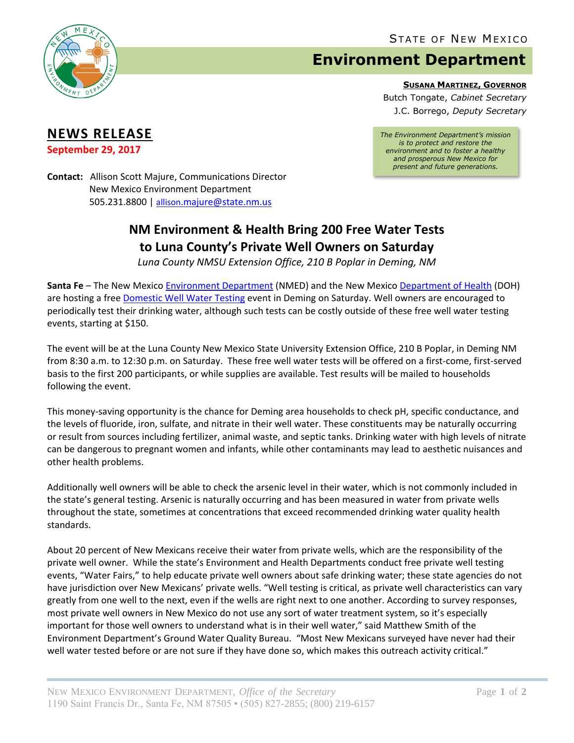

**NEWS RELEASE September 29, 2017**

## **Environment Department**

**SUSANA MARTINEZ, GOVERNOR**

Butch Tongate, *Cabinet Secretary* J.C. Borrego, *Deputy Secretary*

*The Environment Department's mission is to protect and restore the environment and to foster a healthy and prosperous New Mexico for present and future generations.*

**Contact:** Allison Scott Majure, Communications Director New Mexico Environment Department 505.231.8800 | allison[.majure@state.nm.us](mailto:allison.majure@state.nm.us)

## **NM Environment & Health Bring 200 Free Water Tests to Luna County's Private Well Owners on Saturday**

*Luna County NMSU Extension Office, 210 B Poplar in Deming, NM*

**Santa Fe** – The New Mexico [Environment Department](https://www.env.nm.gov/) (NMED) and the New Mexic[o Department of Health](https://nmhealth.org/) (DOH) are hosting a free [Domestic Well Water Testing](https://www.env.nm.gov/gwb/NMED-GWQB-WaterFairs.htm) event in Deming on Saturday. Well owners are encouraged to periodically test their drinking water, although such tests can be costly outside of these free well water testing events, starting at \$150.

The event will be at the Luna County New Mexico State University Extension Office, 210 B Poplar, in Deming NM from 8:30 a.m. to 12:30 p.m. on Saturday. These free well water tests will be offered on a first-come, first-served basis to the first 200 participants, or while supplies are available. Test results will be mailed to households following the event.

This money‐saving opportunity is the chance for Deming area households to check pH, specific conductance, and the levels of fluoride, iron, sulfate, and nitrate in their well water. These constituents may be naturally occurring or result from sources including fertilizer, animal waste, and septic tanks. Drinking water with high levels of nitrate can be dangerous to pregnant women and infants, while other contaminants may lead to aesthetic nuisances and other health problems.

Additionally well owners will be able to check the arsenic level in their water, which is not commonly included in the state's general testing. Arsenic is naturally occurring and has been measured in water from private wells throughout the state, sometimes at concentrations that exceed recommended drinking water quality health standards.

About 20 percent of New Mexicans receive their water from private wells, which are the responsibility of the private well owner. While the state's Environment and Health Departments conduct free private well testing events, "Water Fairs," to help educate private well owners about safe drinking water; these state agencies do not have jurisdiction over New Mexicans' private wells. "Well testing is critical, as private well characteristics can vary greatly from one well to the next, even if the wells are right next to one another. According to survey responses, most private well owners in New Mexico do not use any sort of water treatment system, so it's especially important for those well owners to understand what is in their well water," said Matthew Smith of the Environment Department's Ground Water Quality Bureau. "Most New Mexicans surveyed have never had their well water tested before or are not sure if they have done so, which makes this outreach activity critical."